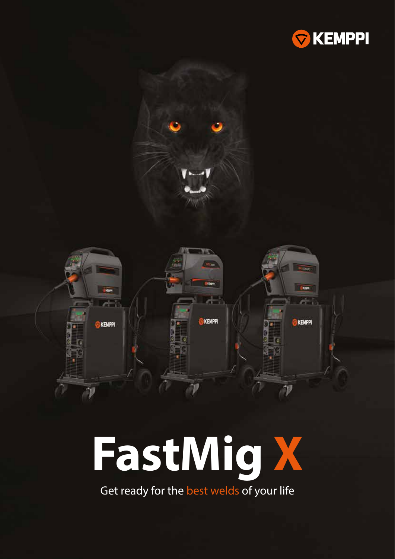



# **FastMig X**

Get ready for the best welds of your life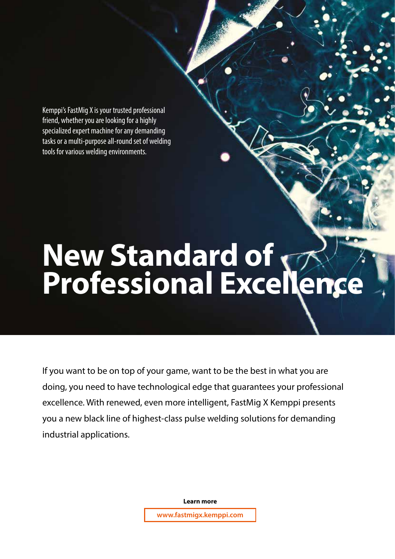Kemppi's FastMig X is your trusted professional friend, whether you are looking for a highly specialized expert machine for any demanding tasks or a multi-purpose all-round set of welding tools for various welding environments.

# **New Standard of Professional Excellence**

If you want to be on top of your game, want to be the best in what you are doing, you need to have technological edge that guarantees your professional excellence. With renewed, even more intelligent, FastMig X Kemppi presents you a new black line of highest-class pulse welding solutions for demanding industrial applications.

**Learn more**

**www.fastmigx.kemppi.com**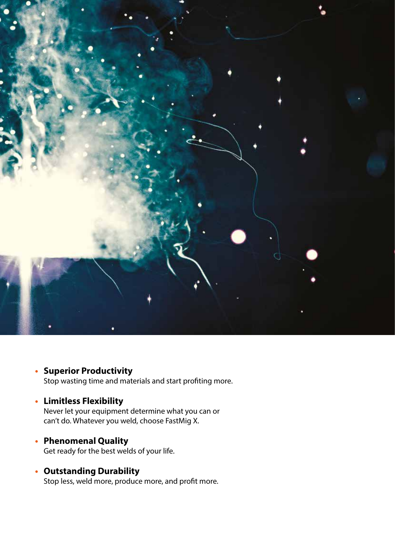

#### **• Superior Productivity**

Stop wasting time and materials and start profiting more.

#### **• Limitless Flexibility**

Never let your equipment determine what you can or can't do. Whatever you weld, choose FastMig X.

- **• Phenomenal Quality** Get ready for the best welds of your life.
- **• Outstanding Durability** Stop less, weld more, produce more, and profit more.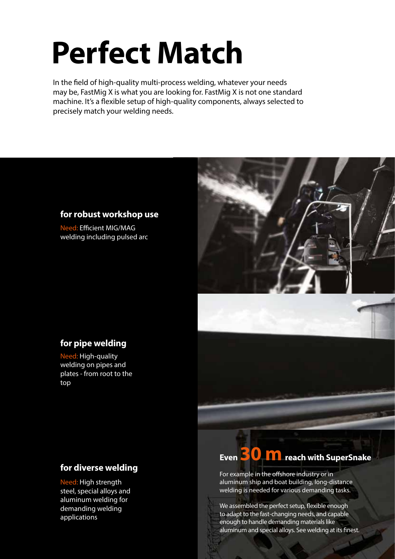# **Perfect Match**

In the field of high-quality multi-process welding, whatever your needs may be, FastMig X is what you are looking for. FastMig X is not one standard machine. It's a flexible setup of high-quality components, always selected to precisely match your welding needs.

#### **for robust workshop use**

Need: Efficient MIG/MAG welding including pulsed arc



#### **for pipe welding**

Need: High-quality welding on pipes and plates - from root to the top

#### **for diverse welding**

Need: High strength steel, special alloys and aluminum welding for demanding welding applications

### **Even 30 m** reach with SuperSnake

For example in the offshore industry or in aluminum ship and boat building, long-distance welding is needed for various demanding tasks.

We assembled the perfect setup, flexible enough to adapt to the fast-changing needs, and capable enough to handle demanding materials like aluminum and special alloys. See welding at its finest.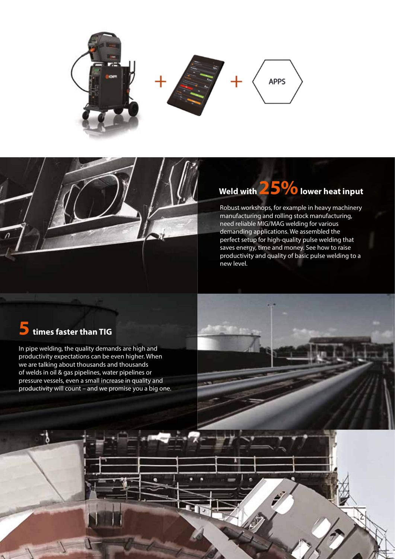

### Weld with **25%** lower heat input

Robust workshops, for example in heavy machinery manufacturing and rolling stock manufacturing, need reliable MIG/MAG welding for various demanding applications. We assembled the perfect setup for high-quality pulse welding that saves energy, time and money. See how to raise productivity and quality of basic pulse welding to a new level.

### **5 times faster than TIG**

In pipe welding, the quality demands are high and productivity expectations can be even higher. When we are talking about thousands and thousands of welds in oil & gas pipelines, water pipelines or pressure vessels, even a small increase in quality and productivity will count – and we promise you a big one.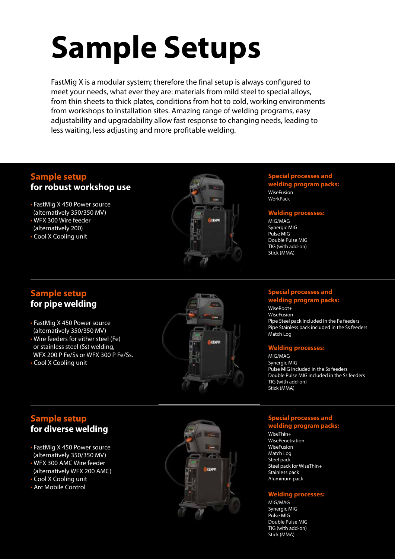# **Sample Setups**

FastMig X is a modular system; therefore the final setup is always configured to meet your needs, what ever they are: materials from mild steel to special alloys, from thin sheets to thick plates, conditions from hot to cold, working environments from workshops to installation sites. Amazing range of welding programs, easy adjustability and upgradability allow fast response to changing needs, leading to less waiting, less adjusting and more profitable welding.

#### **Sample setup for robust workshop use**

- FastMig X 450 Power source (alternatively 350/350 MV)
- WFX 300 Wire feeder (alternatively 200)
- Cool X Cooling unit



#### **Special processes and welding program packs:**

WiseFusion **WorkPack** 

#### **Welding processes:**

MIG/MAG Synergic MIG Pulse MIG Double Pulse MIG TIG (with add-on) Stick (MMA)

#### **Sample setup for pipe welding**

- FastMig X 450 Power source (alternatively 350/350 MV)
- Wire feeders for either steel (Fe) or stainless steel (Ss) welding, WFX 200 P Fe/Ss or WFX 300 P Fe/Ss.
- Cool X Cooling unit



#### **Special processes and kelding program p**

WiseRoot+ **WiseFusion** Pipe Steel pack included in the Fe feeders Pipe Stainless pack included in the Ss feeders Match Log

#### **Welding processes:**

MIG/MAG Synergic MIG Pulse MIG included in the Ss feeders Double Pulse MIG included in the Ss feeders TIG (with add-on) Stick (MMA)

#### **Sample setup for diverse welding**

- FastMig X 450 Power source (alternatively 350/350 MV)
- WFX 300 AMC Wire feeder (alternatively WFX 200 AMC)
- Cool X Cooling unit
- Arc Mobile Control



#### **Special processes and welding program packs:**

WiseThin+ WisePenetration WiseFusion Match Log Steel pack Steel pack for WiseThin+ Stainless pack Aluminum pack

#### **Welding processes:**

MIG/MAG Synergic MIG Pulse MIG Double Pulse MIG TIG (with add-on) Stick (MMA)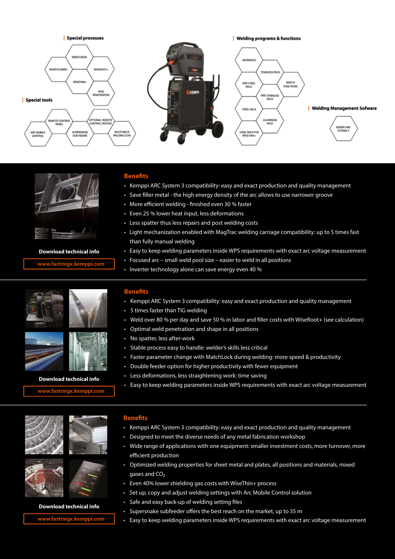



#### **Download technical info**

**fastmigx.kemppi.com www.fastmigx.kemppi.com**

#### **Benefits**

- Kemppi ARC System 3 compatibility: easy and exact production and quality management
- Save filler metal the high energy density of the arc allows to use narrower groove
- More efficient welding finished even 30 % faster
- Even 25 % lower heat input, less deformations
- Less spatter thus less repairs and post welding costs
- Light mechanization enabled with MagTrac welding carriage compatibility: up to 5 times fast than fully manual welding
- Easy to keep welding parameters inside WPS requirements with exact arc voltage measurement
- Focused arc small weld pool size easier to weld in all positions
- Inverter technology alone can save energy even 40 %



#### **Download data sheet Download technical info**

**fastmigx.kemppi.com www.fastmigx.kemppi.com**





#### **Download data sheet Download technical info**

**fastmigx.kemppi.com www.fastmigx.kemppi.com**

#### **Benefits**

- $\bm{\cdot}\;$  Kemppi ARC System 3 compatibility: easy and exact production and quality management
- $\:$  5 times faster than TIG welding
- Weld over 80 % per day and save 50 % in labor and filler costs with WiseRoot+ (see calculation)
- Optimal weld penetration and shape in all positions
- $\cdot$  To spaticity in speed in the work • No spatter, less after-work
- Stable process easy to handle: welder's skills less critical
- Faster parameter change with MatchLock during welding: more speed & productivity
- Double feeder option for higher productivity with fewer equipment  $\cdot$
- Less deformations, less straightening work: time saving
- Easy to keep welding parameters inside WPS requirements with exact arc voltage measurement

#### **Benefits**

- **Advantages** Kemppi ARC System 3 compatibility: easy and exact production and quality management
- Designed to meet the diverse needs of any metal fabrication workshop
- Wide range of applications with one equipment: smaller investment costs, more turnover, more  $\mathcal{L}_{\text{HCl}}$  monitoring with ARC Mobile Control: all welders weld with the same parameters were parameters with the same parameters with the same parameters with the same parameters with the same parameters with the same efficient production
- Optimized welding properties for sheet metal and plates, all positions and materials, mixed gases and  $\mathbb{C}$  gases and CO₂
	- Even 40% lower shielding gas costs with WiseThin+ process
	- Set up, copy and adjust welding settings with Arc Mobile Control solution
	- Sare and easy back up or welding setting mes • Safe and easy back-up of welding setting files
	- Supersnake subfeeder offers the best reach on the market, up to 35 m
	- Easy to keep welding parameters inside WPS requirements with exact arc voltage measurement